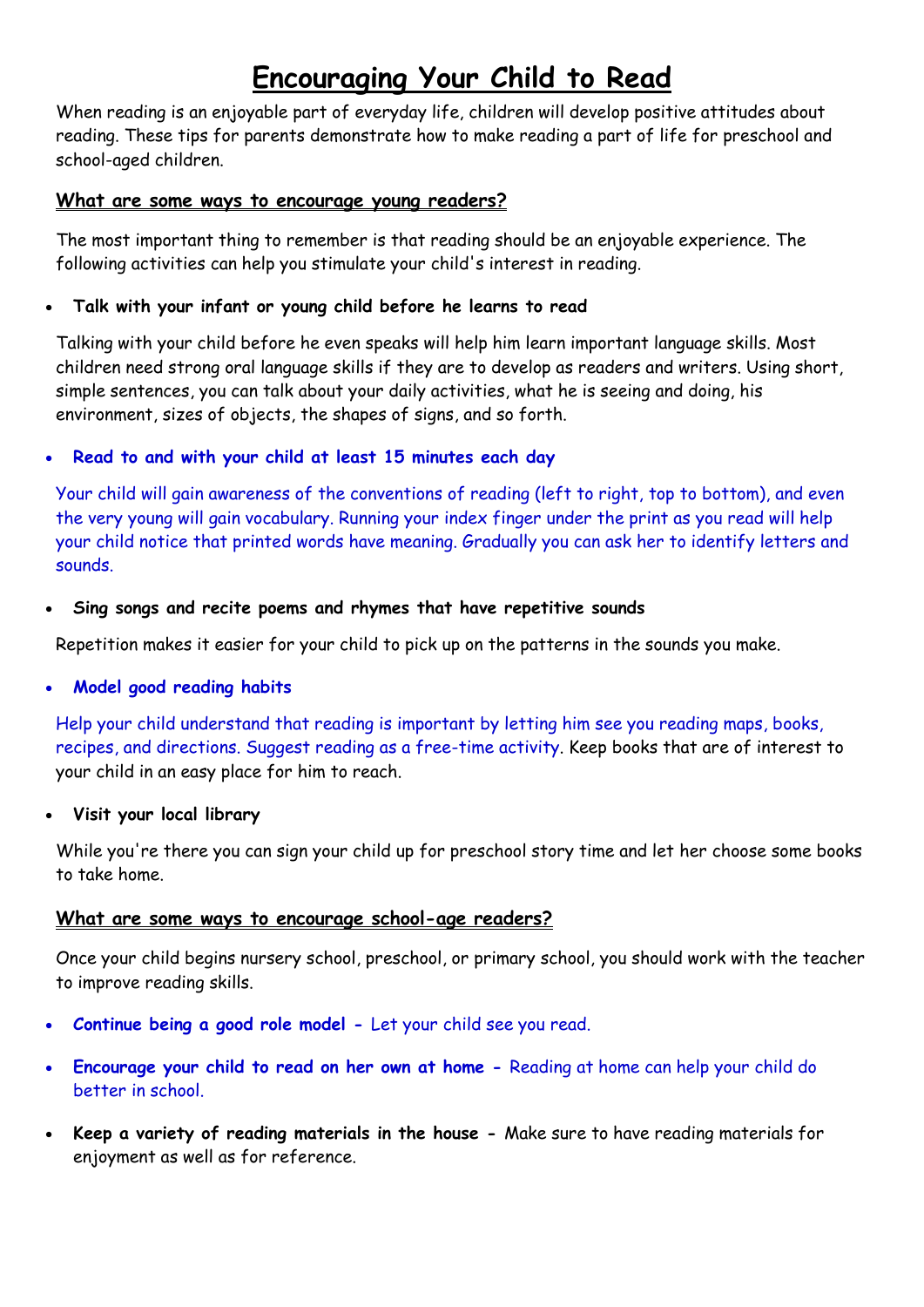# **Encouraging Your Child to Read**

When reading is an enjoyable part of everyday life, children will develop positive attitudes about reading. These tips for parents demonstrate how to make reading a part of life for preschool and school-aged children.

## **What are some ways to encourage young readers?**

The most important thing to remember is that reading should be an enjoyable experience. The following activities can help you stimulate your child's interest in reading.

# **Talk with your infant or young child before he learns to read**

Talking with your child before he even speaks will help him learn important language skills. Most children need strong oral language skills if they are to develop as readers and writers. Using short, simple sentences, you can talk about your daily activities, what he is seeing and doing, his environment, sizes of objects, the shapes of signs, and so forth.

# **Read to and with your child at least 15 minutes each day**

Your child will gain awareness of the conventions of reading (left to right, top to bottom), and even the very young will gain vocabulary. Running your index finger under the print as you read will help your child notice that printed words have meaning. Gradually you can ask her to identify letters and sounds.

## **Sing songs and recite poems and rhymes that have repetitive sounds**

Repetition makes it easier for your child to pick up on the patterns in the sounds you make.

# **Model good reading habits**

Help your child understand that reading is important by letting him see you reading maps, books, recipes, and directions. Suggest reading as a free-time activity. Keep books that are of interest to your child in an easy place for him to reach.

## **Visit your local library**

While you're there you can sign your child up for preschool story time and let her choose some books to take home.

# **What are some ways to encourage school-age readers?**

Once your child begins nursery school, preschool, or primary school, you should work with the teacher to improve reading skills.

- **Continue being a good role model -** Let your child see you read.
- **Encourage your child to read on her own at home -** Reading at home can help your child do better in school.
- **Keep a variety of reading materials in the house -** Make sure to have reading materials for enjoyment as well as for reference.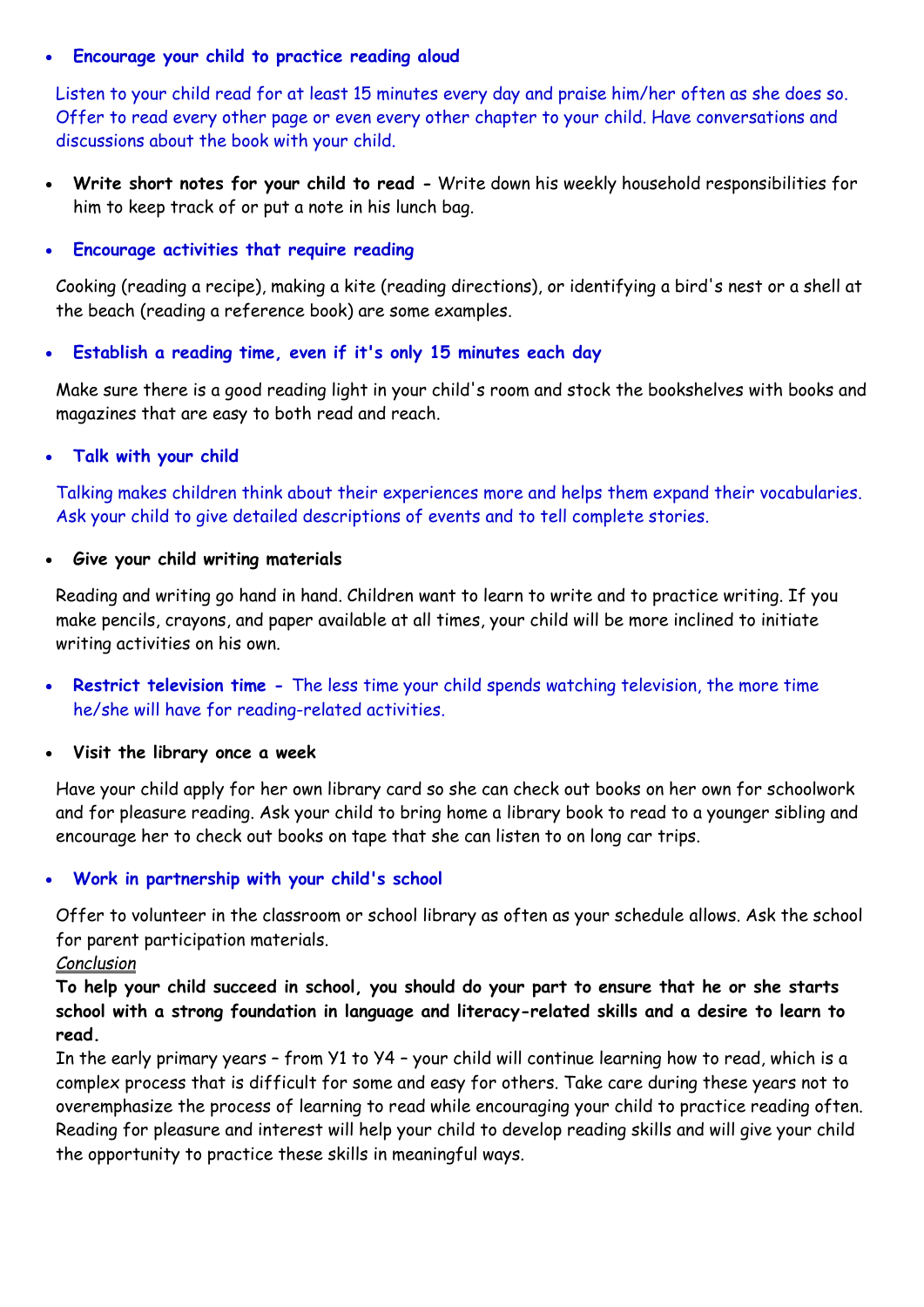#### **Encourage your child to practice reading aloud**

Listen to your child read for at least 15 minutes every day and praise him/her often as she does so. Offer to read every other page or even every other chapter to your child. Have conversations and discussions about the book with your child.

 **Write short notes for your child to read -** Write down his weekly household responsibilities for him to keep track of or put a note in his lunch bag.

#### **Encourage activities that require reading**

Cooking (reading a recipe), making a kite (reading directions), or identifying a bird's nest or a shell at the beach (reading a reference book) are some examples.

#### **Establish a reading time, even if it's only 15 minutes each day**

Make sure there is a good reading light in your child's room and stock the bookshelves with books and magazines that are easy to both read and reach.

#### **Talk with your child**

Talking makes children think about their experiences more and helps them expand their vocabularies. Ask your child to give detailed descriptions of events and to tell complete stories.

#### **Give your child writing materials**

Reading and writing go hand in hand. Children want to learn to write and to practice writing. If you make pencils, crayons, and paper available at all times, your child will be more inclined to initiate writing activities on his own.

 **Restrict television time -** The less time your child spends watching television, the more time he/she will have for reading-related activities.

## **Visit the library once a week**

Have your child apply for her own library card so she can check out books on her own for schoolwork and for pleasure reading. Ask your child to bring home a library book to read to a younger sibling and encourage her to check out books on tape that she can listen to on long car trips.

## **Work in partnership with your child's school**

Offer to volunteer in the classroom or school library as often as your schedule allows. Ask the school for parent participation materials.

## *Conclusion*

**To help your child succeed in school, you should do your part to ensure that he or she starts school with a strong foundation in language and literacy-related skills and a desire to learn to read.**

In the early primary years – from Y1 to Y4 – your child will continue learning how to read, which is a complex process that is difficult for some and easy for others. Take care during these years not to overemphasize the process of learning to read while encouraging your child to practice reading often. Reading for pleasure and interest will help your child to develop reading skills and will give your child the opportunity to practice these skills in meaningful ways.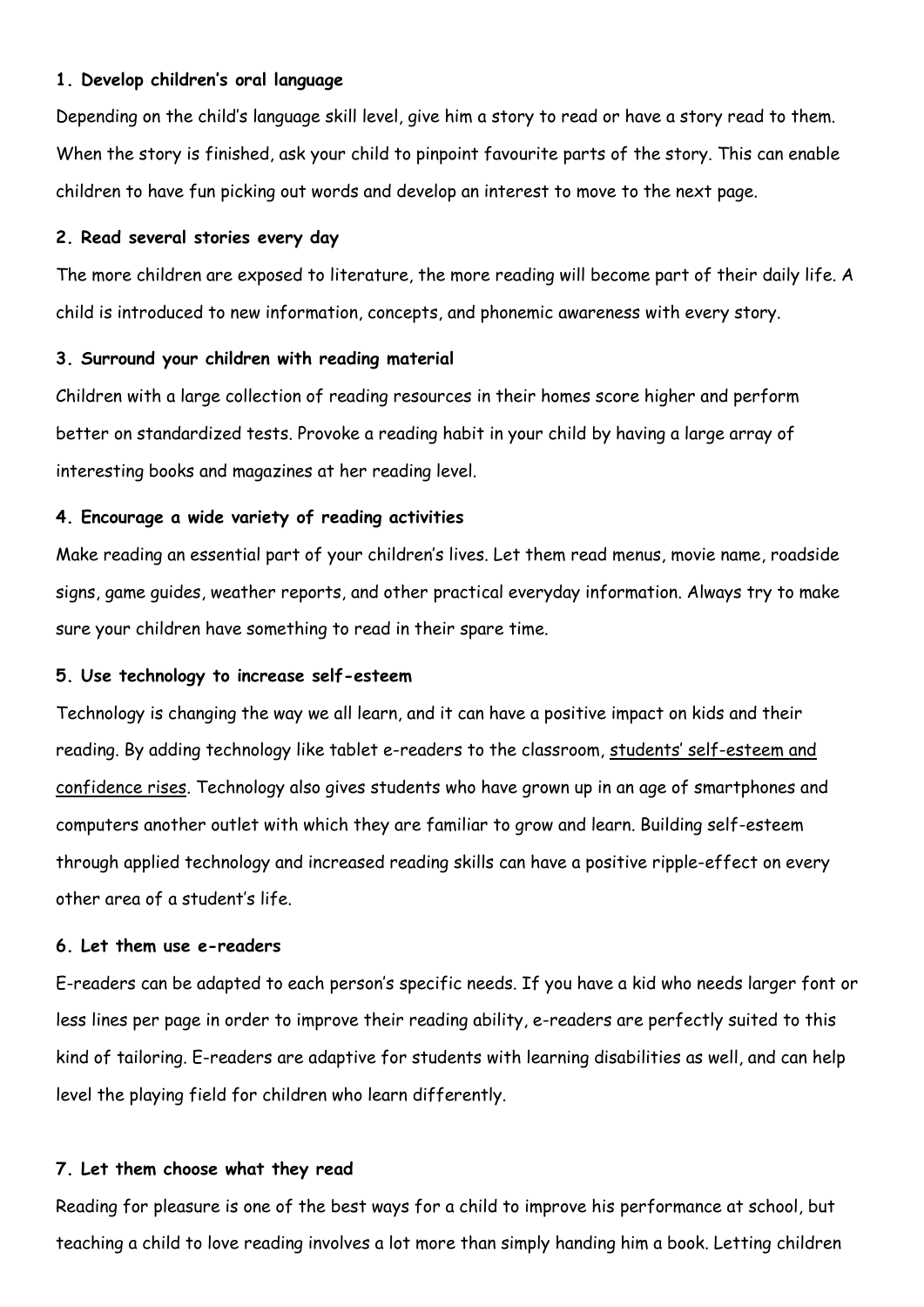#### **1. Develop children's oral language**

Depending on the child's language skill level, give him a story to read or have a story read to them. When the story is finished, ask your child to pinpoint favourite parts of the story. This can enable children to have fun picking out words and develop an interest to move to the next page.

#### **2. Read several stories every day**

The more children are exposed to literature, the more reading will become part of their daily life. A child is introduced to new information, concepts, and phonemic awareness with every story.

#### **3. Surround your children with reading material**

Children with a large collection of reading resources in their homes score higher and perform better on standardized tests. Provoke a reading habit in your child by having a large array of interesting books and magazines at her reading level.

#### **4. Encourage a wide variety of reading activities**

Make reading an essential part of your children's lives. Let them read menus, movie name, roadside signs, game guides, weather reports, and other practical everyday information. Always try to make sure your children have something to read in their spare time.

#### **5. Use technology to increase self-esteem**

Technology is changing the way we all learn, and it can have a positive impact on kids and their reading. By adding technology like tablet e-readers to the classroom, [students' self](https://www2.ed.gov/pubs/EdReformStudies/EdTech/effectsstudents.html)-esteem and [confidence rises.](https://www2.ed.gov/pubs/EdReformStudies/EdTech/effectsstudents.html) Technology also gives students who have grown up in an age of smartphones and computers another outlet with which they are familiar to grow and learn. Building self-esteem through applied technology and increased reading skills can have a positive ripple-effect on every other area of a student's life.

#### **6. Let them use e-readers**

E-readers can be adapted to each person's specific needs. If you have a kid who needs larger font or less lines per page in order to improve their reading ability, e-readers are perfectly suited to this kind of tailoring. E-readers are adaptive for students with learning disabilities as well, and can help level the playing field for children who learn differently.

#### **7. Let them choose what they read**

Reading for pleasure is one of the best ways for a child to improve his performance at school, but teaching a child to love reading involves a lot more than simply handing him a book. Letting children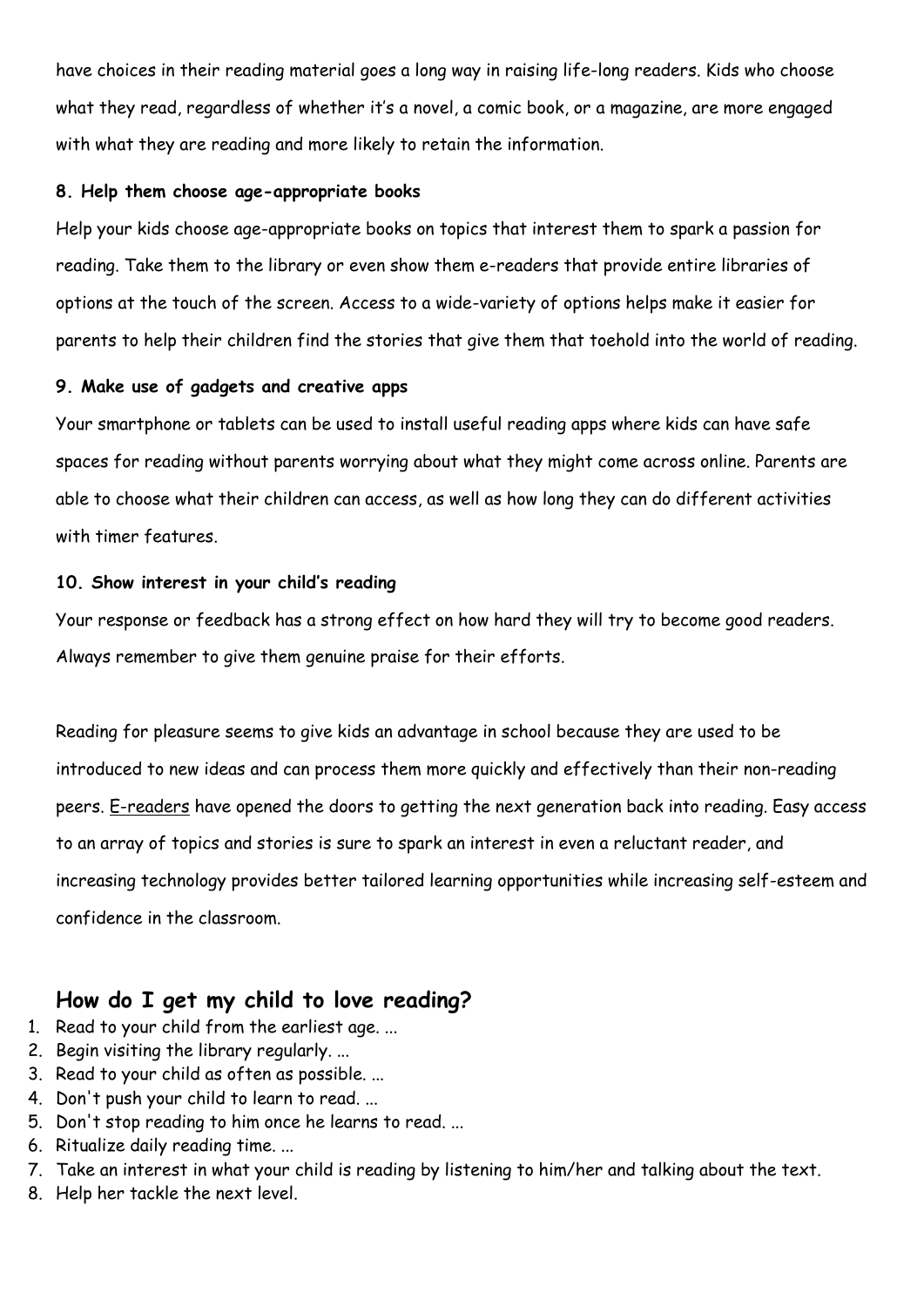have choices in their reading material goes a long way in raising life-long readers. Kids who choose what they read, regardless of whether it's a novel, a comic book, or a magazine, are more engaged with what they are reading and more likely to retain the information.

#### **8. Help them choose age-appropriate books**

Help your kids choose age-appropriate books on topics that interest them to spark a passion for reading. Take them to the library or even show them e-readers that provide entire libraries of options at the touch of the screen. Access to a wide-variety of options helps make it easier for parents to help their children find the stories that give them that toehold into the world of reading.

## **9. Make use of gadgets and creative apps**

Your smartphone or tablets can be used to install useful reading apps where kids can have safe spaces for reading without parents worrying about what they might come across online. Parents are able to choose what their children can access, as well as how long they can do different activities with timer features.

#### **10. Show interest in your child's reading**

Your response or feedback has a strong effect on how hard they will try to become good readers. Always remember to give them genuine praise for their efforts.

Reading for pleasure seems to give kids an advantage in school because they are used to be introduced to new ideas and can process them more quickly and effectively than their non-reading peers. [E-readers](http://www.lifehack.org/articles/lifestyle/ten-advantages-book-readers.html) have opened the doors to getting the next generation back into reading. Easy access to an array of topics and stories is sure to spark an interest in even a reluctant reader, and increasing technology provides better tailored learning opportunities while increasing self-esteem and confidence in the classroom.

# **How do I get my child to love reading?**

- 1. Read to your child from the earliest age. ...
- 2. Begin visiting the library regularly. ...
- 3. Read to your child as often as possible. ...
- 4. Don't push your child to learn to read. ...
- 5. Don't stop reading to him once he learns to read. ...
- 6. Ritualize daily reading time. ...
- 7. Take an interest in what your child is reading by listening to him/her and talking about the text.
- 8. Help her tackle the next level.